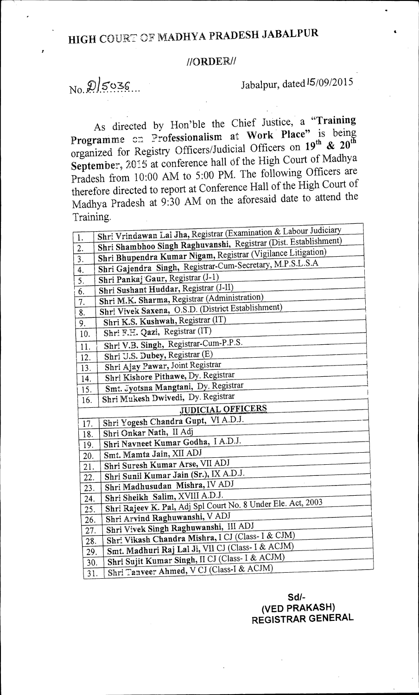## //ORDER//

 $N_0$   $\mathcal{Q}/5036...$  Jabalpur, dated  $15/09/2015$ 

As directed by Hon'ble the Chief Justice, a **"Training**  Programme cn Professionalism at Work Place" is being organized for Registry Officers/Judicial Officers on 19<sup>th</sup> & 20<sup>th</sup> September, 2015 at conference hall of the High Court of Madhya Pradesh from 10:00 AM to 5:00 PM. The following Officers are therefore directed to report at Conference Hall of the High Court of Madhya Pradesh at 9:30 AM on the aforesaid date to attend the Training.

| $\overline{1}$ .         | Shri Vrindawan Lal Jha, Registrar (Examination & Labour Judiciary |
|--------------------------|-------------------------------------------------------------------|
| $\overline{2}$ .         | Shri Shambhoo Singh Raghuvanshi, Registrar (Dist. Establishment)  |
| $\overline{3}$ .         | Shri Bhupendra Kumar Nigam, Registrar (Vigilance Litigation)      |
| 4.                       | Shri Gajendra Singh, Registrar-Cum-Secretary, M.P.S.L.S.A         |
| 5.                       | Shri Pankaj Gaur, Registrar (J-1)                                 |
| 6.                       | Shri Sushant Huddar, Registrar (J-II)                             |
| $\overline{7}$ .         | Shri M.K. Sharma, Registrar (Administration)                      |
| 8.                       | Shri Vivek Saxena, O.S.D. (District Establishment)                |
| 9.                       | Shri K.S. Kushwah, Registrar (IT)                                 |
| 10.                      | Shri F.H. Qazi, Registrar (IT)                                    |
| 11.                      | Shri V.B. Singh, Registrar-Cum-P.P.S.                             |
| 12.                      | Shri U.S. Dubey, Registrar (E)                                    |
| 13.                      | Shri Ajay Pawar, Joint Registrar                                  |
| 14.                      | Shri Kishore Pithawe, Dy. Registrar                               |
| 15.                      | Smt. Jyotsna Mangtani, Dy. Registrar                              |
| 16.                      | Shri Mukesh Dwivedi, Dy. Registrar                                |
| <b>JUDICIAL OFFICERS</b> |                                                                   |
| 17.                      | Shri Yogesh Chandra Gupt, VI A.D.J.                               |
| 18.                      | Shri Onkar Nath, II Adj                                           |
| 19.                      | Shri Navneet Kumar Godha, I A.D.J.                                |
| 20.                      | Smt. Mamta Jain, XII ADJ                                          |
| 21.                      | Shri Suresh Kumar Arse, VII ADJ                                   |
| 22.                      | Shri Sunil Kumar Jain (Sr.), IX A.D.J.                            |
| 23.                      | Shri Madhusudan Mishra, IV ADJ                                    |
| 24.                      | Shri Sheikh Salim, XVIII A.D.J.                                   |
| 25.                      | Shri Rajeev K. Pal, Adj Spl Court No. 8 Under Ele. Act, 2003      |
| 26.                      | Shri Arvind Raghuwanshi, V ADJ                                    |
| 27.                      | Shri Vivek Singh Raghuwanshi, III ADJ                             |
| 28.                      | Shri Vikash Chandra Mishra, I CJ (Class- I & CJM)                 |
| 29.                      | Smt. Madhuri Raj Lal Ji, VII CJ (Class- I & ACJM)                 |
| 30.                      | Shri Sujit Kumar Singh, II CJ (Class- I & ACJM)                   |
| $\overline{3}1.$         | Shri Tanveer Ahmed, V CJ (Class-I & ACJM)                         |
|                          |                                                                   |

## **Sd/- (VED PRAKASH) REGISTRAR GENERAL**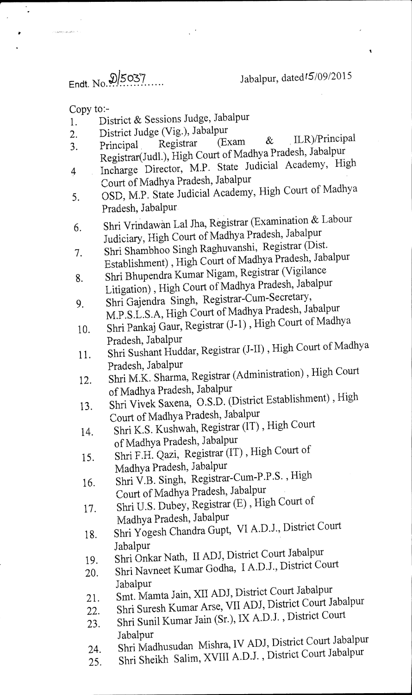Endt. No. 9/5037 Jabalpur, dated15/09/2015

Copy to:-

 $\ddot{\phantom{1}}$ 

- District & Sessions Judge, Jabalpur 1.
- 
- 2. District Judge (Vig.), Jabalpur<br>3. Principal Registrar (Exam 2. District stage (1.5.),  $\frac{1}{2}$  (Exam & ILR)/Principal Registrar (Exam & ILR)/Principal Registrar(Judl.), High Court of Madhya Pradesh, Jabalpur
- <sup>4</sup>Incharge Director, M.P. State Judicial Academy, High Court of Madhya Pradesh, Jabalpur
- 5. OSD, M.P. State Judicial Academy, High Court of Madhya Pradesh, Jabalpur.
- 6. Shri Vrindawan Lai Jha, Registrar (Examination & Labour Judiciary, High Court of Madhya Pradesh, Jabalpur
- 7. Shri Shambhoo Singh Raghuvanshi, Registrar (Dist. Establishment) , High Court of Madhya Pradesh, Jabalpur
- 8. Shri Bhupendra Kumar Nigam, Registrar (Vigilance Litigation) , High Court of Madhya Pradesh, Jabalpur 9. Shri Gajendra Singh, Registrar-Cum-Secretary,
- M.P.S.L.S.A, High Court of Madhya Pradesh, Jabalpur
- 10. Shri Pankaj Gaur, Registrar (J-1) , High Court of Madhya Pradesh, Jabalpur
- 11. Shri Sushant Huddar, Registrar (J-II) , High Court of Madhya Pradesh, Jabalpur
- 12. Shri M.K. Sharma, Registrar (Administration) , High Court of Madhya Pradesh, Jabalpur
- 13. Shri Vivek Saxena, O.S.D. (District Establishment) , High Court of Madhya Pradesh, Jabalpur
- 14. Shri K.S. Kushwah, Registrar (IT) , High Court of Madhya Pradesh, Jabalpur
- 15. Shri F.H. Qazi, Registrar (IT), High Court of Madhya Pradesh, Jabalpur
- 16. Shri V.B. Singh, Registrar-Cum-P.P.S. , High Court of Madhya Pradesh, Jabalpur
- 17. Shri U.S. Dubey, Registrar (E) , High Court of
- Madhya Pradesh, Jabalpur
- 18. Shri Yogesh Chandra Gupt, VI A.D.J., District Court Jabalpur
- 19. Shri Onkar Nath, II ADJ, District Court Jabalpur
- 20. Shri Navneet Kumar Godha, I A.D.J., District Court Jabalpur
- 21. Smt. Mamta Jain, XII ADJ, District Court Jabalpur
- 22. Shri Suresh Kumar Arse, VII ADJ, District Court Jabalpur
- 23. Shri Sunil Kumar Jain (Sr.), IX A.D.J., District Court Jabalpur
- 24. Shri Madhusudan Mishra, IV ADJ, District Court Jabalpur
- 25. Shri Sheikh Salim, XVIII A.D.J. , District Court Jabalpur